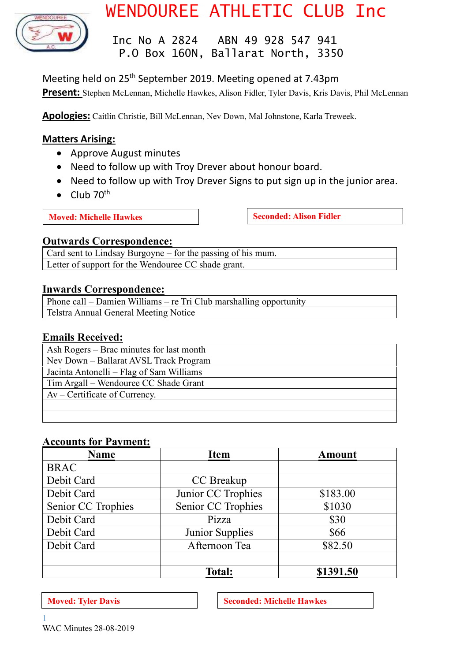

# WENDOUREE ATHLETIC CLUB Inc

 Inc No A 2824 ABN 49 928 547 941 P.O Box 160N, Ballarat North, 3350

Meeting held on 25<sup>th</sup> September 2019. Meeting opened at 7.43pm **Present:** Stephen McLennan, Michelle Hawkes, Alison Fidler, Tyler Davis, Kris Davis, Phil McLennan

**Apologies:** Caitlin Christie, Bill McLennan, Nev Down, Mal Johnstone, Karla Treweek.

# **Matters Arising:**

- Approve August minutes
- Need to follow up with Troy Drever about honour board.
- Need to follow up with Troy Drever Signs to put sign up in the junior area.
- Club  $70^{th}$

**Moved:** Michelle Hawkes **Seconded:** Alison Fidler

# **Outwards Correspondence:**

Card sent to Lindsay Burgoyne – for the passing of his mum. Letter of support for the Wendouree CC shade grant.

# **Inwards Correspondence:**

Phone call – Damien Williams – re Tri Club marshalling opportunity Telstra Annual General Meeting Notice

# **Emails Received:**

Ash Rogers – Brac minutes for last month Nev Down – Ballarat AVSL Track Program Jacinta Antonelli – Flag of Sam Williams Tim Argall – Wendouree CC Shade Grant Av – Certificate of Currency.

# **Accounts for Payment:**

| Name               | <b>Item</b>        | <b>Amount</b> |
|--------------------|--------------------|---------------|
| <b>BRAC</b>        |                    |               |
| Debit Card         | CC Breakup         |               |
| Debit Card         | Junior CC Trophies | \$183.00      |
| Senior CC Trophies | Senior CC Trophies | \$1030        |
| Debit Card         | Pizza              | \$30          |
| Debit Card         | Junior Supplies    | \$66          |
| Debit Card         | Afternoon Tea      | \$82.50       |
|                    |                    |               |
|                    | <b>Total:</b>      | \$1391.50     |

**Moved:** Tyler Davis **Seconded:** Michelle Hawkes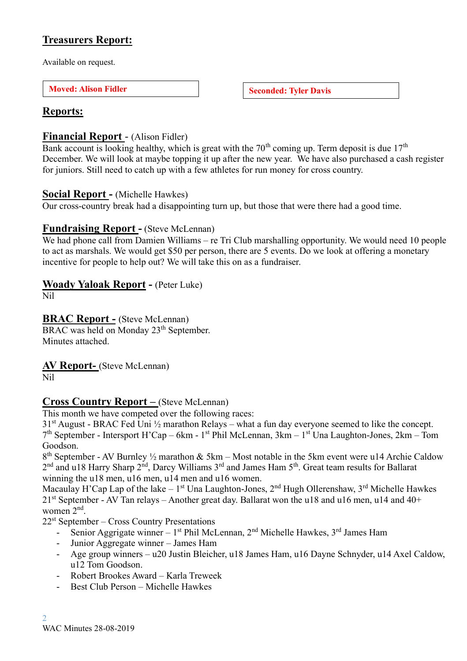# **Treasurers Report:**

Available on request.

**Moved:** Alison Fidler **Seconded:** Tyler Davis

# **Reports:**

# **Financial Report** - (Alison Fidler)

Bank account is looking healthy, which is great with the  $70<sup>th</sup>$  coming up. Term deposit is due  $17<sup>th</sup>$ December. We will look at maybe topping it up after the new year. We have also purchased a cash register for juniors. Still need to catch up with a few athletes for run money for cross country.

# **Social Report -** (Michelle Hawkes)

Our cross-country break had a disappointing turn up, but those that were there had a good time.

# **Fundraising Report -** (Steve McLennan)

We had phone call from Damien Williams – re Tri Club marshalling opportunity. We would need 10 people to act as marshals. We would get \$50 per person, there are 5 events. Do we look at offering a monetary incentive for people to help out? We will take this on as a fundraiser.

# **Woady Yaloak Report -** (Peter Luke)

Nil

# **BRAC Report -** (Steve McLennan)

BRAC was held on Monday 23<sup>th</sup> September. Minutes attached.

**AV Report-** (Steve McLennan)

Nil

# **Cross Country Report –** (Steve McLennan)

This month we have competed over the following races:

 $31<sup>st</sup>$  August - BRAC Fed Uni  $\frac{1}{2}$  marathon Relays – what a fun day everyone seemed to like the concept. 7 th September - Intersport H'Cap – 6km - 1 st Phil McLennan, 3km – 1 st Una Laughton-Jones, 2km – Tom Goodson.

 $8<sup>th</sup>$  September - AV Burnley  $\frac{1}{2}$  marathon & 5km – Most notable in the 5km event were u14 Archie Caldow  $2<sup>nd</sup>$  and u18 Harry Sharp  $2<sup>nd</sup>$ , Darcy Williams  $3<sup>rd</sup>$  and James Ham  $5<sup>th</sup>$ . Great team results for Ballarat winning the u18 men, u16 men, u14 men and u16 women.

Macaulay H'Cap Lap of the lake – 1<sup>st</sup> Una Laughton-Jones, 2<sup>nd</sup> Hugh Ollerenshaw, 3<sup>rd</sup> Michelle Hawkes  $21<sup>st</sup>$  September - AV Tan relays – Another great day. Ballarat won the u18 and u16 men, u14 and 40+ women 2<sup>nd</sup>.

22<sup>st</sup> September – Cross Country Presentations

- Senior Aggrigate winner  $-1^{st}$  Phil McLennan,  $2^{nd}$  Michelle Hawkes,  $3^{rd}$  James Ham
- Junior Aggregate winner James Ham
- Age group winners u20 Justin Bleicher, u18 James Ham, u16 Dayne Schnyder, u14 Axel Caldow, u12 Tom Goodson.
- Robert Brookes Award Karla Treweek
- Best Club Person Michelle Hawkes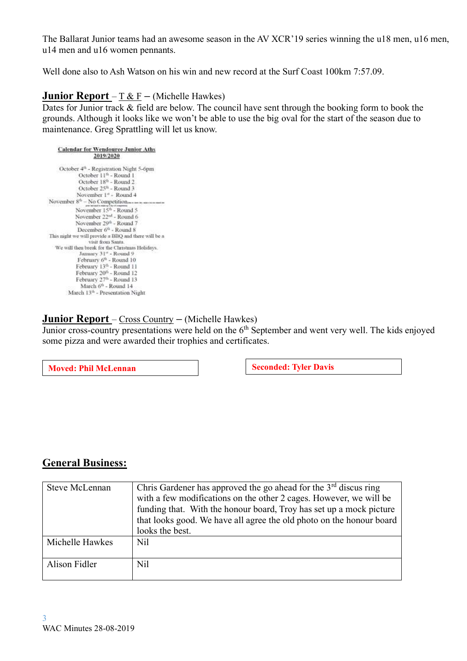The Ballarat Junior teams had an awesome season in the AV XCR'19 series winning the u18 men, u16 men, u14 men and u16 women pennants.

Well done also to Ash Watson on his win and new record at the Surf Coast 100km 7:57.09.

# **Junior Report** – T & F **–** (Michelle Hawkes)

Dates for Junior track & field are below. The council have sent through the booking form to book the grounds. Although it looks like we won't be able to use the big oval for the start of the season due to maintenance. Greg Sprattling will let us know.

**Calendar for Wendource Junior Aths** 2019/2020 October 4<sup>th</sup> - Registration Night 5-6pm October 11<sup>th</sup> - Round 1 October 18<sup>0</sup> - Round 2 October 25<sup>6</sup> - Round 3 November 1<sup>a</sup> - Round 4 November  $8^{th}$  – No Competition... November 15<sup>th</sup> - Round 5 November 22<sup>nd</sup> - Round 6 November 29<sup>th</sup> - Round 7 December 6<sup>th</sup> - Round 8 This night we will provide a BBQ and there will be a visit from Santa. We will then break for the Christmas Holidays. January 31<sup>4</sup> - Round 9 February 6<sup>th</sup> - Round 10 February 13th - Round 11 February 20th - Round 12 February 27th - Round 13 March 6<sup>th</sup> - Round 14 March 13th - Presentation Night

# **Junior Report** – Cross Country **–** (Michelle Hawkes)

Junior cross-country presentations were held on the  $6<sup>th</sup>$  September and went very well. The kids enjoyed some pizza and were awarded their trophies and certificates.

**Moved:** Phil McLennan **Seconded:** Tyler Davis

# **General Business:**

| Steve McLennan  | Chris Gardener has approved the go ahead for the $3rd$ discus ring<br>with a few modifications on the other 2 cages. However, we will be<br>funding that. With the honour board, Troy has set up a mock picture<br>that looks good. We have all agree the old photo on the honour board<br>looks the best. |
|-----------------|------------------------------------------------------------------------------------------------------------------------------------------------------------------------------------------------------------------------------------------------------------------------------------------------------------|
| Michelle Hawkes | Nil                                                                                                                                                                                                                                                                                                        |
| Alison Fidler   | Nil                                                                                                                                                                                                                                                                                                        |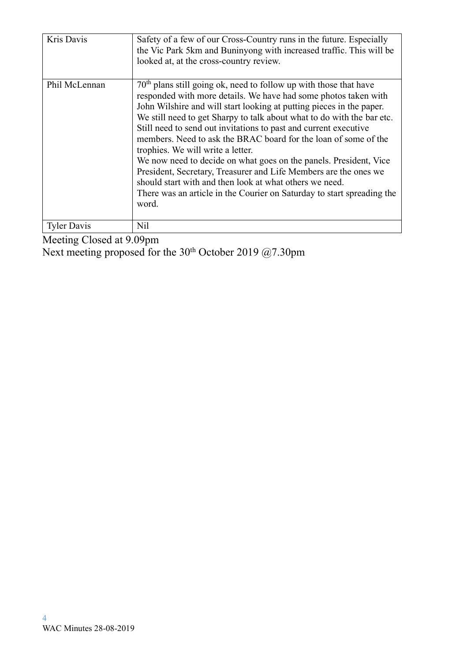| Kris Davis    | Safety of a few of our Cross-Country runs in the future. Especially<br>the Vic Park 5km and Buninyong with increased traffic. This will be<br>looked at, at the cross-country review.                                                                                                                                                                                                                                                                                                                                                                                                                                                                                                                                                                                 |
|---------------|-----------------------------------------------------------------------------------------------------------------------------------------------------------------------------------------------------------------------------------------------------------------------------------------------------------------------------------------------------------------------------------------------------------------------------------------------------------------------------------------------------------------------------------------------------------------------------------------------------------------------------------------------------------------------------------------------------------------------------------------------------------------------|
| Phil McLennan | 70 <sup>th</sup> plans still going ok, need to follow up with those that have<br>responded with more details. We have had some photos taken with<br>John Wilshire and will start looking at putting pieces in the paper.<br>We still need to get Sharpy to talk about what to do with the bar etc.<br>Still need to send out invitations to past and current executive<br>members. Need to ask the BRAC board for the loan of some of the<br>trophies. We will write a letter.<br>We now need to decide on what goes on the panels. President, Vice<br>President, Secretary, Treasurer and Life Members are the ones we<br>should start with and then look at what others we need.<br>There was an article in the Courier on Saturday to start spreading the<br>word. |
| Tyler Davis   | Nil                                                                                                                                                                                                                                                                                                                                                                                                                                                                                                                                                                                                                                                                                                                                                                   |

Meeting Closed at 9.09pm

Next meeting proposed for the  $30<sup>th</sup>$  October 2019 @7.30pm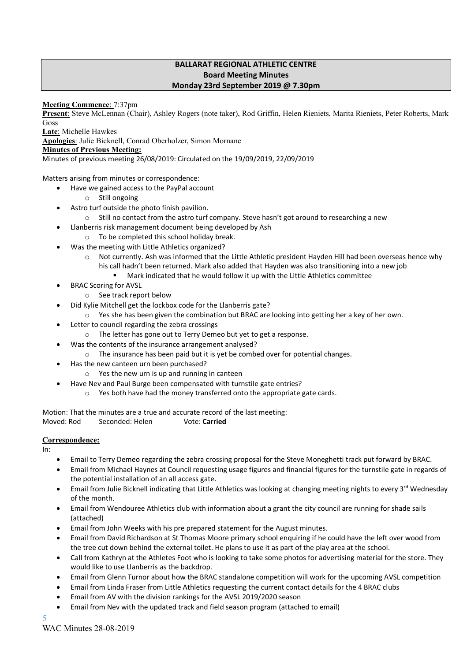#### **BALLARAT REGIONAL ATHLETIC CENTRE Board Meeting Minutes Monday 23rd September 2019 @ 7.30pm**

#### **Meeting Commence**: 7:37pm

**Present**: Steve McLennan (Chair), Ashley Rogers (note taker), Rod Griffin, Helen Rieniets, Marita Rieniets, Peter Roberts, Mark Goss

**Late**: Michelle Hawkes

**Apologies**: Julie Bicknell, Conrad Oberholzer, Simon Mornane

#### **Minutes of Previous Meeting:**

Minutes of previous meeting 26/08/2019: Circulated on the 19/09/2019, 22/09/2019

Matters arising from minutes or correspondence:

- Have we gained access to the PayPal account
	- o Still ongoing
- Astro turf outside the photo finish pavilion.
	- o Still no contact from the astro turf company. Steve hasn't got around to researching a new
	- Llanberris risk management document being developed by Ash
		- o To be completed this school holiday break.
- Was the meeting with Little Athletics organized?
	- o Not currently. Ash was informed that the Little Athletic president Hayden Hill had been overseas hence why his call hadn't been returned. Mark also added that Hayden was also transitioning into a new job
		- Mark indicated that he would follow it up with the Little Athletics committee
- BRAC Scoring for AVSL
	- o See track report below
- Did Kylie Mitchell get the lockbox code for the Llanberris gate?
- o Yes she has been given the combination but BRAC are looking into getting her a key of her own.
- Letter to council regarding the zebra crossings
	- o The letter has gone out to Terry Demeo but yet to get a response.
- Was the contents of the insurance arrangement analysed?
	- o The insurance has been paid but it is yet be combed over for potential changes.
- Has the new canteen urn been purchased?
	- o Yes the new urn is up and running in canteen
	- Have Nev and Paul Burge been compensated with turnstile gate entries?
		- o Yes both have had the money transferred onto the appropriate gate cards.

Motion: That the minutes are a true and accurate record of the last meeting: Moved: Rod Seconded: Helen Vote: **Carried**

#### **Correspondence:**

In:

- Email to Terry Demeo regarding the zebra crossing proposal for the Steve Moneghetti track put forward by BRAC.
- Email from Michael Haynes at Council requesting usage figures and financial figures for the turnstile gate in regards of the potential installation of an all access gate.
- Email from Julie Bicknell indicating that Little Athletics was looking at changing meeting nights to every 3<sup>rd</sup> Wednesday of the month.
- Email from Wendouree Athletics club with information about a grant the city council are running for shade sails (attached)
- Email from John Weeks with his pre prepared statement for the August minutes.
- Email from David Richardson at St Thomas Moore primary school enquiring if he could have the left over wood from the tree cut down behind the external toilet. He plans to use it as part of the play area at the school.
- Call from Kathryn at the Athletes Foot who is looking to take some photos for advertising material for the store. They would like to use Llanberris as the backdrop.
- Email from Glenn Turnor about how the BRAC standalone competition will work for the upcoming AVSL competition
- Email from Linda Fraser from Little Athletics requesting the current contact details for the 4 BRAC clubs
- Email from AV with the division rankings for the AVSL 2019/2020 season
- Email from Nev with the updated track and field season program (attached to email)

5 WAC Minutes 28-08-2019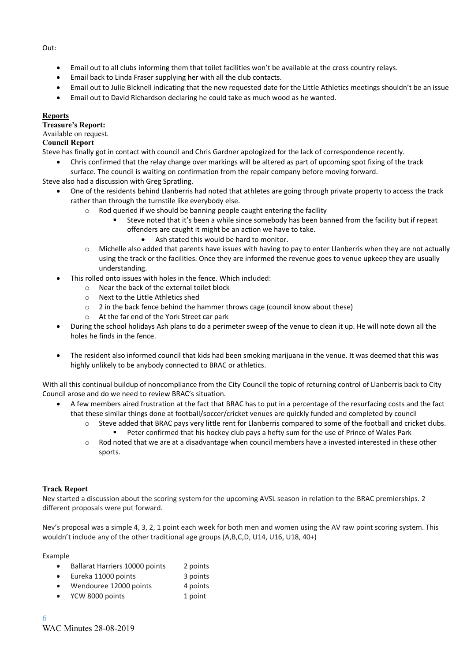Out:

- Email out to all clubs informing them that toilet facilities won't be available at the cross country relays.
- Email back to Linda Fraser supplying her with all the club contacts.
- Email out to Julie Bicknell indicating that the new requested date for the Little Athletics meetings shouldn't be an issue
- Email out to David Richardson declaring he could take as much wood as he wanted.

#### **Reports**

**Treasure's Report:**

### Available on request.

### **Council Report**

Steve has finally got in contact with council and Chris Gardner apologized for the lack of correspondence recently.

• Chris confirmed that the relay change over markings will be altered as part of upcoming spot fixing of the track surface. The council is waiting on confirmation from the repair company before moving forward.

Steve also had a discussion with Greg Spratling.

- One of the residents behind Llanberris had noted that athletes are going through private property to access the track rather than through the turnstile like everybody else.
	- o Rod queried if we should be banning people caught entering the facility
		- Steve noted that it's been a while since somebody has been banned from the facility but if repeat offenders are caught it might be an action we have to take.
			- Ash stated this would be hard to monitor.
	- $\circ$  Michelle also added that parents have issues with having to pay to enter Llanberris when they are not actually using the track or the facilities. Once they are informed the revenue goes to venue upkeep they are usually understanding.
- This rolled onto issues with holes in the fence. Which included:
	- o Near the back of the external toilet block
	- o Next to the Little Athletics shed
	- o 2 in the back fence behind the hammer throws cage (council know about these)
	- o At the far end of the York Street car park
- During the school holidays Ash plans to do a perimeter sweep of the venue to clean it up. He will note down all the holes he finds in the fence.
- The resident also informed council that kids had been smoking marijuana in the venue. It was deemed that this was highly unlikely to be anybody connected to BRAC or athletics.

With all this continual buildup of noncompliance from the City Council the topic of returning control of Llanberris back to City Council arose and do we need to review BRAC's situation.

- A few members aired frustration at the fact that BRAC has to put in a percentage of the resurfacing costs and the fact that these similar things done at football/soccer/cricket venues are quickly funded and completed by council
	- o Steve added that BRAC pays very little rent for Llanberris compared to some of the football and cricket clubs. Peter confirmed that his hockey club pays a hefty sum for the use of Prince of Wales Park
	- o Rod noted that we are at a disadvantage when council members have a invested interested in these other sports.

#### **Track Report**

Nev started a discussion about the scoring system for the upcoming AVSL season in relation to the BRAC premierships. 2 different proposals were put forward.

Nev's proposal was a simple 4, 3, 2, 1 point each week for both men and women using the AV raw point scoring system. This wouldn't include any of the other traditional age groups (A,B,C,D, U14, U16, U18, 40+)

Example

- Ballarat Harriers 10000 points 2 points
- Eureka 11000 points 3 points
- Wendouree 12000 points 4 points
- YCW 8000 points 1 point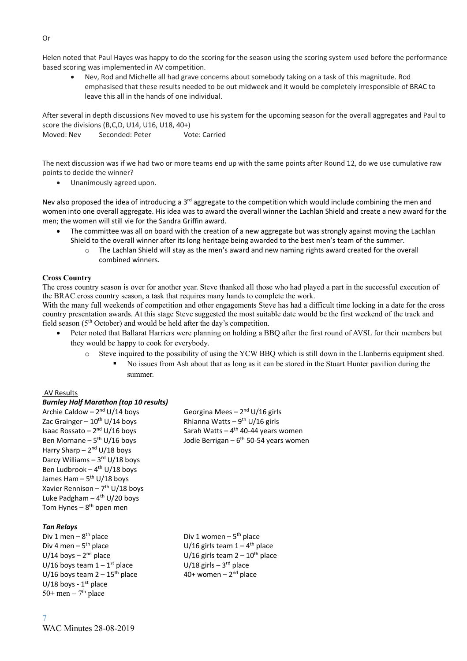Helen noted that Paul Hayes was happy to do the scoring for the season using the scoring system used before the performance based scoring was implemented in AV competition.

• Nev, Rod and Michelle all had grave concerns about somebody taking on a task of this magnitude. Rod emphasised that these results needed to be out midweek and it would be completely irresponsible of BRAC to leave this all in the hands of one individual.

After several in depth discussions Nev moved to use his system for the upcoming season for the overall aggregates and Paul to score the divisions (B,C,D, U14, U16, U18, 40+)

Moved: Nev Seconded: Peter Vote: Carried

The next discussion was if we had two or more teams end up with the same points after Round 12, do we use cumulative raw points to decide the winner?

• Unanimously agreed upon.

Nev also proposed the idea of introducing a 3<sup>rd</sup> aggregate to the competition which would include combining the men and women into one overall aggregate. His idea was to award the overall winner the Lachlan Shield and create a new award for the men; the women will still vie for the Sandra Griffin award.

- The committee was all on board with the creation of a new aggregate but was strongly against moving the Lachlan Shield to the overall winner after its long heritage being awarded to the best men's team of the summer.
	- $\circ$  The Lachlan Shield will stay as the men's award and new naming rights award created for the overall combined winners.

#### **Cross Country**

The cross country season is over for another year. Steve thanked all those who had played a part in the successful execution of the BRAC cross country season, a task that requires many hands to complete the work.

With the many full weekends of competition and other engagements Steve has had a difficult time locking in a date for the cross country presentation awards. At this stage Steve suggested the most suitable date would be the first weekend of the track and field season ( $5<sup>th</sup> October$ ) and would be held after the day's competition.

- Peter noted that Ballarat Harriers were planning on holding a BBQ after the first round of AVSL for their members but they would be happy to cook for everybody.
	- o Steve inquired to the possibility of using the YCW BBQ which is still down in the Llanberris equipment shed.
		- No issues from Ash about that as long as it can be stored in the Stuart Hunter pavilion during the summer.

#### AV Results

#### *Burnley Half Marathon (top 10 results)*

Archie Caldow –  $2<sup>nd</sup> U/14$  boys <sup>nd</sup> U/14 boys Georgina Mees – 2<sup>nd</sup> U/16 girls Zac Grainger –  $10^{\text{th}}$  U/14 boys Isaac Rossato - 2<sup>nd</sup> U/16 boys Ben Mornane –  $5^{th}$  U/16 boys Harry Sharp – 2<sup>nd</sup> U/18 boys Darcy Williams – 3<sup>rd</sup> U/18 boys Ben Ludbrook - 4<sup>th</sup> U/18 boys James Ham – 5<sup>th</sup> U/18 boys Xavier Rennison – 7<sup>th</sup> U/18 boys Luke Padgham – 4<sup>th</sup> U/20 boys Tom Hynes – 8<sup>th</sup> open men

#### *Tan Relays*

7

Div 1 men –  $8<sup>th</sup>$  place Div 4 men  $-5$ <sup>th</sup> place  $U/14$  boys –  $2<sup>nd</sup>$  place U/16 boys team  $1 - 1$ <sup>st</sup> place U/16 boys team  $2 - 15$ <sup>th</sup> place U/18 boys -  $1<sup>st</sup>$  place 50+ men – 7<sup>th</sup> place

Rhianna Watts  $-9^{th}$  U/16 girls <sup>nd</sup> U/16 boys **Sarah Watts – 4<sup>th</sup> 40-44 years women** <sup>th</sup> U/16 boys **Sand Buller** Jodie Berrigan – 6<sup>th</sup> 50-54 years women

<sup>th</sup> place **Div 1 women – 5<sup>th</sup> place** <sup>th</sup> place  $U/16$  girls team  $1-4$ <sup>th</sup> place U/16 girls team  $2 - 10^{th}$  place <sup>st</sup> place  $U/18$  girls – 3<sup>rd</sup> place 40+ women  $-2<sup>nd</sup>$  place

#### Or

WAC Minutes 28-08-2019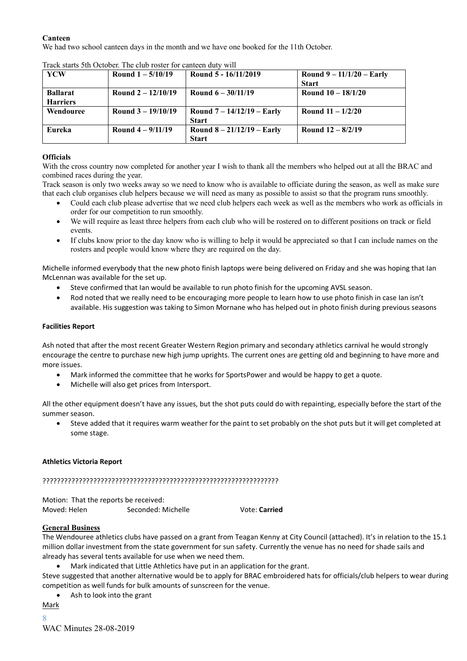#### **Canteen**

We had two school canteen days in the month and we have one booked for the 11th October.

| <b>YCW</b>      | Round $1 - 5/10/19$  | Round 5 - 16/11/2019         | Round $9 - 11/1/20 -$ Early<br><b>Start</b> |
|-----------------|----------------------|------------------------------|---------------------------------------------|
|                 |                      |                              |                                             |
| <b>Ballarat</b> | Round $2 - 12/10/19$ | Round $6 - 30/11/19$         | Round $10 - 18/1/20$                        |
| <b>Harriers</b> |                      |                              |                                             |
| Wendouree       | Round $3 - 19/10/19$ | Round $7 - 14/12/19 - Early$ | Round $11 - 1/2/20$                         |
|                 |                      | <b>Start</b>                 |                                             |
| Eureka          | Round $4 - 9/11/19$  | Round $8 - 21/12/19 - Early$ | Round $12 - 8/2/19$                         |
|                 |                      | <b>Start</b>                 |                                             |

Track starts 5th October. The club roster for canteen duty will

#### **Officials**

With the cross country now completed for another year I wish to thank all the members who helped out at all the BRAC and combined races during the year.

Track season is only two weeks away so we need to know who is available to officiate during the season, as well as make sure that each club organises club helpers because we will need as many as possible to assist so that the program runs smoothly.

- Could each club please advertise that we need club helpers each week as well as the members who work as officials in order for our competition to run smoothly.
- We will require as least three helpers from each club who will be rostered on to different positions on track or field events.
- If clubs know prior to the day know who is willing to help it would be appreciated so that I can include names on the rosters and people would know where they are required on the day.

Michelle informed everybody that the new photo finish laptops were being delivered on Friday and she was hoping that Ian McLennan was available for the set up.

- Steve confirmed that Ian would be available to run photo finish for the upcoming AVSL season.
- Rod noted that we really need to be encouraging more people to learn how to use photo finish in case Ian isn't available. His suggestion was taking to Simon Mornane who has helped out in photo finish during previous seasons

#### **Facilities Report**

Ash noted that after the most recent Greater Western Region primary and secondary athletics carnival he would strongly encourage the centre to purchase new high jump uprights. The current ones are getting old and beginning to have more and more issues.

- Mark informed the committee that he works for SportsPower and would be happy to get a quote.
- Michelle will also get prices from Intersport.

All the other equipment doesn't have any issues, but the shot puts could do with repainting, especially before the start of the summer season.

• Steve added that it requires warm weather for the paint to set probably on the shot puts but it will get completed at some stage.

#### **Athletics Victoria Report**

#### ?????????????????????????????????????????????????????????????????

Motion: That the reports be received: Moved: Helen Seconded: Michelle Vote: **Carried**

#### **General Business**

The Wendouree athletics clubs have passed on a grant from Teagan Kenny at City Council (attached). It's in relation to the 15.1 million dollar investment from the state government for sun safety. Currently the venue has no need for shade sails and already has several tents available for use when we need them.

• Mark indicated that Little Athletics have put in an application for the grant.

Steve suggested that another alternative would be to apply for BRAC embroidered hats for officials/club helpers to wear during competition as well funds for bulk amounts of sunscreen for the venue.

• Ash to look into the grant

8 **Mark**